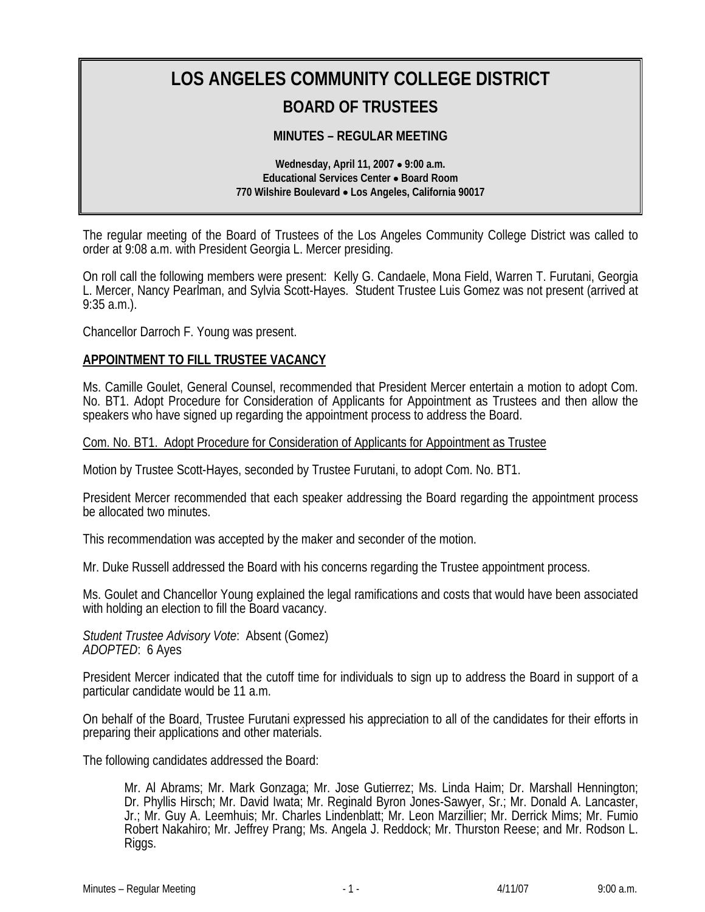# **LOS ANGELES COMMUNITY COLLEGE DISTRICT BOARD OF TRUSTEES**

# **MINUTES – REGULAR MEETING**

**Wednesday, April 11, 2007** • **9:00 a.m. Educational Services Center** • **Board Room 770 Wilshire Boulevard** • **Los Angeles, California 90017** 

The regular meeting of the Board of Trustees of the Los Angeles Community College District was called to order at 9:08 a.m. with President Georgia L. Mercer presiding.

On roll call the following members were present: Kelly G. Candaele, Mona Field, Warren T. Furutani, Georgia L. Mercer, Nancy Pearlman, and Sylvia Scott-Hayes. Student Trustee Luis Gomez was not present (arrived at 9:35 a.m.).

Chancellor Darroch F. Young was present.

#### **APPOINTMENT TO FILL TRUSTEE VACANCY**

Ms. Camille Goulet, General Counsel, recommended that President Mercer entertain a motion to adopt Com. No. BT1. Adopt Procedure for Consideration of Applicants for Appointment as Trustees and then allow the speakers who have signed up regarding the appointment process to address the Board.

# Com. No. BT1. Adopt Procedure for Consideration of Applicants for Appointment as Trustee

Motion by Trustee Scott-Hayes, seconded by Trustee Furutani, to adopt Com. No. BT1.

President Mercer recommended that each speaker addressing the Board regarding the appointment process be allocated two minutes.

This recommendation was accepted by the maker and seconder of the motion.

Mr. Duke Russell addressed the Board with his concerns regarding the Trustee appointment process.

Ms. Goulet and Chancellor Young explained the legal ramifications and costs that would have been associated with holding an election to fill the Board vacancy.

*Student Trustee Advisory Vote*: Absent (Gomez) *ADOPTED*: 6 Ayes

President Mercer indicated that the cutoff time for individuals to sign up to address the Board in support of a particular candidate would be 11 a.m.

On behalf of the Board, Trustee Furutani expressed his appreciation to all of the candidates for their efforts in preparing their applications and other materials.

The following candidates addressed the Board:

Mr. Al Abrams; Mr. Mark Gonzaga; Mr. Jose Gutierrez; Ms. Linda Haim; Dr. Marshall Hennington; Dr. Phyllis Hirsch; Mr. David Iwata; Mr. Reginald Byron Jones-Sawyer, Sr.; Mr. Donald A. Lancaster, Jr.; Mr. Guy A. Leemhuis; Mr. Charles Lindenblatt; Mr. Leon Marzillier; Mr. Derrick Mims; Mr. Fumio Robert Nakahiro; Mr. Jeffrey Prang; Ms. Angela J. Reddock; Mr. Thurston Reese; and Mr. Rodson L. Riggs.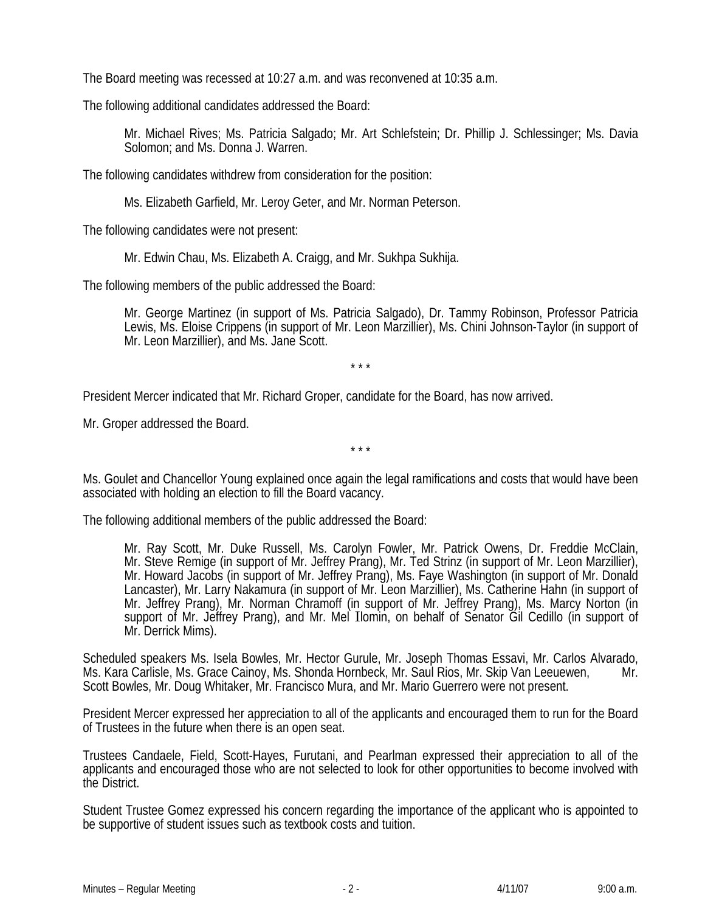The Board meeting was recessed at 10:27 a.m. and was reconvened at 10:35 a.m.

The following additional candidates addressed the Board:

Mr. Michael Rives; Ms. Patricia Salgado; Mr. Art Schlefstein; Dr. Phillip J. Schlessinger; Ms. Davia Solomon; and Ms. Donna J. Warren.

The following candidates withdrew from consideration for the position:

Ms. Elizabeth Garfield, Mr. Leroy Geter, and Mr. Norman Peterson.

The following candidates were not present:

Mr. Edwin Chau, Ms. Elizabeth A. Craigg, and Mr. Sukhpa Sukhija.

The following members of the public addressed the Board:

Mr. George Martinez (in support of Ms. Patricia Salgado), Dr. Tammy Robinson, Professor Patricia Lewis, Ms. Eloise Crippens (in support of Mr. Leon Marzillier), Ms. Chini Johnson-Taylor (in support of Mr. Leon Marzillier), and Ms. Jane Scott.

\* \* \*

President Mercer indicated that Mr. Richard Groper, candidate for the Board, has now arrived.

Mr. Groper addressed the Board.

Ms. Goulet and Chancellor Young explained once again the legal ramifications and costs that would have been associated with holding an election to fill the Board vacancy.

\* \* \*

The following additional members of the public addressed the Board:

Mr. Ray Scott, Mr. Duke Russell, Ms. Carolyn Fowler, Mr. Patrick Owens, Dr. Freddie McClain, Mr. Steve Remige (in support of Mr. Jeffrey Prang), Mr. Ted Strinz (in support of Mr. Leon Marzillier), Mr. Howard Jacobs (in support of Mr. Jeffrey Prang), Ms. Faye Washington (in support of Mr. Donald Lancaster), Mr. Larry Nakamura (in support of Mr. Leon Marzillier), Ms. Catherine Hahn (in support of Mr. Jeffrey Prang), Mr. Norman Chramoff (in support of Mr. Jeffrey Prang), Ms. Marcy Norton (in support of Mr. Jeffrey Prang), and Mr. Mel Ilomin, on behalf of Senator Gil Cedillo (in support of Mr. Derrick Mims).

Scheduled speakers Ms. Isela Bowles, Mr. Hector Gurule, Mr. Joseph Thomas Essavi, Mr. Carlos Alvarado, Ms. Kara Carlisle, Ms. Grace Cainoy, Ms. Shonda Hornbeck, Mr. Saul Rios, Mr. Skip Van Leeuewen, Mr. Scott Bowles, Mr. Doug Whitaker, Mr. Francisco Mura, and Mr. Mario Guerrero were not present.

President Mercer expressed her appreciation to all of the applicants and encouraged them to run for the Board of Trustees in the future when there is an open seat.

Trustees Candaele, Field, Scott-Hayes, Furutani, and Pearlman expressed their appreciation to all of the applicants and encouraged those who are not selected to look for other opportunities to become involved with the District.

Student Trustee Gomez expressed his concern regarding the importance of the applicant who is appointed to be supportive of student issues such as textbook costs and tuition.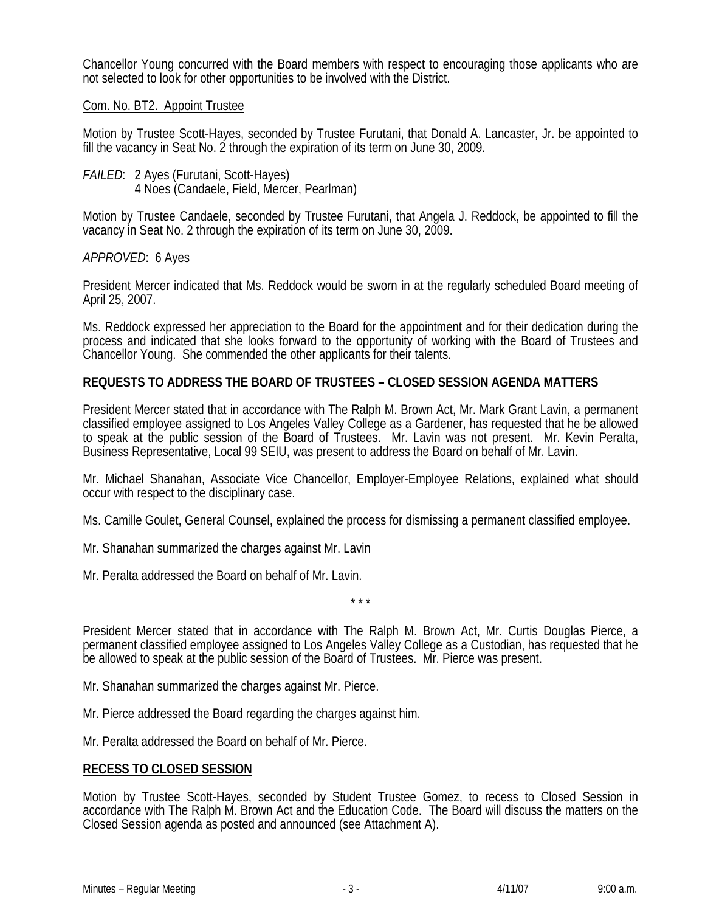Chancellor Young concurred with the Board members with respect to encouraging those applicants who are not selected to look for other opportunities to be involved with the District.

# Com. No. BT2. Appoint Trustee

Motion by Trustee Scott-Hayes, seconded by Trustee Furutani, that Donald A. Lancaster, Jr. be appointed to fill the vacancy in Seat No. 2 through the expiration of its term on June 30, 2009.

*FAILED*: 2 Ayes (Furutani, Scott-Hayes) 4 Noes (Candaele, Field, Mercer, Pearlman)

Motion by Trustee Candaele, seconded by Trustee Furutani, that Angela J. Reddock, be appointed to fill the vacancy in Seat No. 2 through the expiration of its term on June 30, 2009.

#### *APPROVED*: 6 Ayes

President Mercer indicated that Ms. Reddock would be sworn in at the regularly scheduled Board meeting of April 25, 2007.

Ms. Reddock expressed her appreciation to the Board for the appointment and for their dedication during the process and indicated that she looks forward to the opportunity of working with the Board of Trustees and Chancellor Young. She commended the other applicants for their talents.

#### **REQUESTS TO ADDRESS THE BOARD OF TRUSTEES – CLOSED SESSION AGENDA MATTERS**

President Mercer stated that in accordance with The Ralph M. Brown Act, Mr. Mark Grant Lavin, a permanent classified employee assigned to Los Angeles Valley College as a Gardener, has requested that he be allowed to speak at the public session of the Board of Trustees. Mr. Lavin was not present. Mr. Kevin Peralta, Business Representative, Local 99 SEIU, was present to address the Board on behalf of Mr. Lavin.

Mr. Michael Shanahan, Associate Vice Chancellor, Employer-Employee Relations, explained what should occur with respect to the disciplinary case.

Ms. Camille Goulet, General Counsel, explained the process for dismissing a permanent classified employee.

Mr. Shanahan summarized the charges against Mr. Lavin

Mr. Peralta addressed the Board on behalf of Mr. Lavin.

\* \* \*

President Mercer stated that in accordance with The Ralph M. Brown Act, Mr. Curtis Douglas Pierce, a permanent classified employee assigned to Los Angeles Valley College as a Custodian, has requested that he be allowed to speak at the public session of the Board of Trustees. Mr. Pierce was present.

- Mr. Shanahan summarized the charges against Mr. Pierce.
- Mr. Pierce addressed the Board regarding the charges against him.

Mr. Peralta addressed the Board on behalf of Mr. Pierce.

# **RECESS TO CLOSED SESSION**

Motion by Trustee Scott-Hayes, seconded by Student Trustee Gomez, to recess to Closed Session in accordance with The Ralph M. Brown Act and the Education Code. The Board will discuss the matters on the Closed Session agenda as posted and announced (see Attachment A).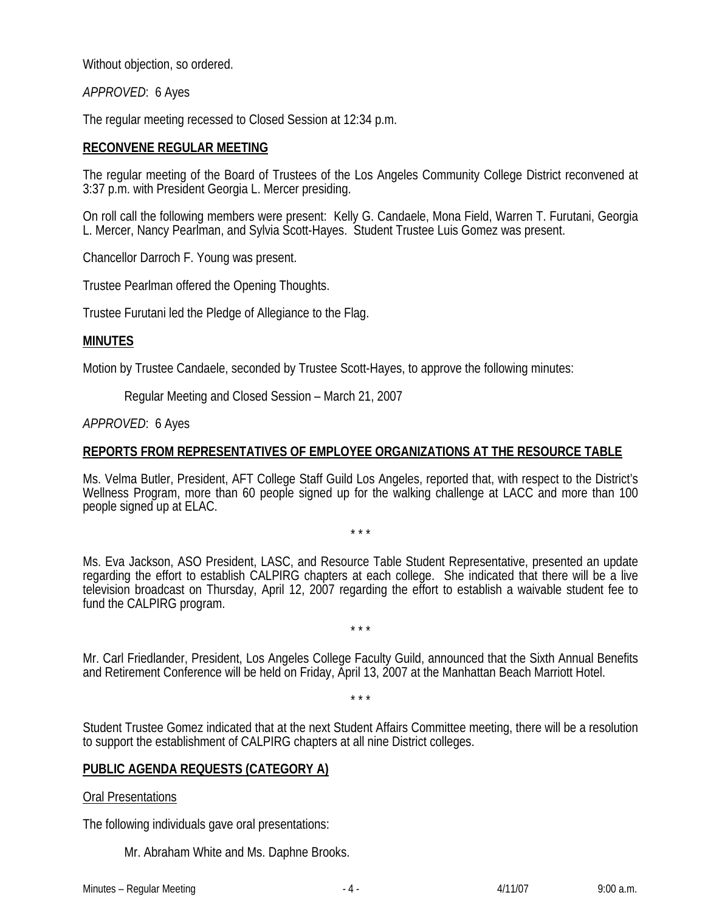Without objection, so ordered.

*APPROVED*: 6 Ayes

The regular meeting recessed to Closed Session at 12:34 p.m.

# **RECONVENE REGULAR MEETING**

The regular meeting of the Board of Trustees of the Los Angeles Community College District reconvened at 3:37 p.m. with President Georgia L. Mercer presiding.

On roll call the following members were present: Kelly G. Candaele, Mona Field, Warren T. Furutani, Georgia L. Mercer, Nancy Pearlman, and Sylvia Scott-Hayes. Student Trustee Luis Gomez was present.

Chancellor Darroch F. Young was present.

Trustee Pearlman offered the Opening Thoughts.

Trustee Furutani led the Pledge of Allegiance to the Flag.

# **MINUTES**

Motion by Trustee Candaele, seconded by Trustee Scott-Hayes, to approve the following minutes:

Regular Meeting and Closed Session – March 21, 2007

#### *APPROVED*: 6 Ayes

# **REPORTS FROM REPRESENTATIVES OF EMPLOYEE ORGANIZATIONS AT THE RESOURCE TABLE**

Ms. Velma Butler, President, AFT College Staff Guild Los Angeles, reported that, with respect to the District's Wellness Program, more than 60 people signed up for the walking challenge at LACC and more than 100 people signed up at ELAC.

\* \* \*

Ms. Eva Jackson, ASO President, LASC, and Resource Table Student Representative, presented an update regarding the effort to establish CALPIRG chapters at each college. She indicated that there will be a live television broadcast on Thursday, April 12, 2007 regarding the effort to establish a waivable student fee to fund the CALPIRG program.

\* \* \*

Mr. Carl Friedlander, President, Los Angeles College Faculty Guild, announced that the Sixth Annual Benefits and Retirement Conference will be held on Friday, April 13, 2007 at the Manhattan Beach Marriott Hotel.

\* \* \*

Student Trustee Gomez indicated that at the next Student Affairs Committee meeting, there will be a resolution to support the establishment of CALPIRG chapters at all nine District colleges.

# **PUBLIC AGENDA REQUESTS (CATEGORY A)**

#### Oral Presentations

The following individuals gave oral presentations:

Mr. Abraham White and Ms. Daphne Brooks.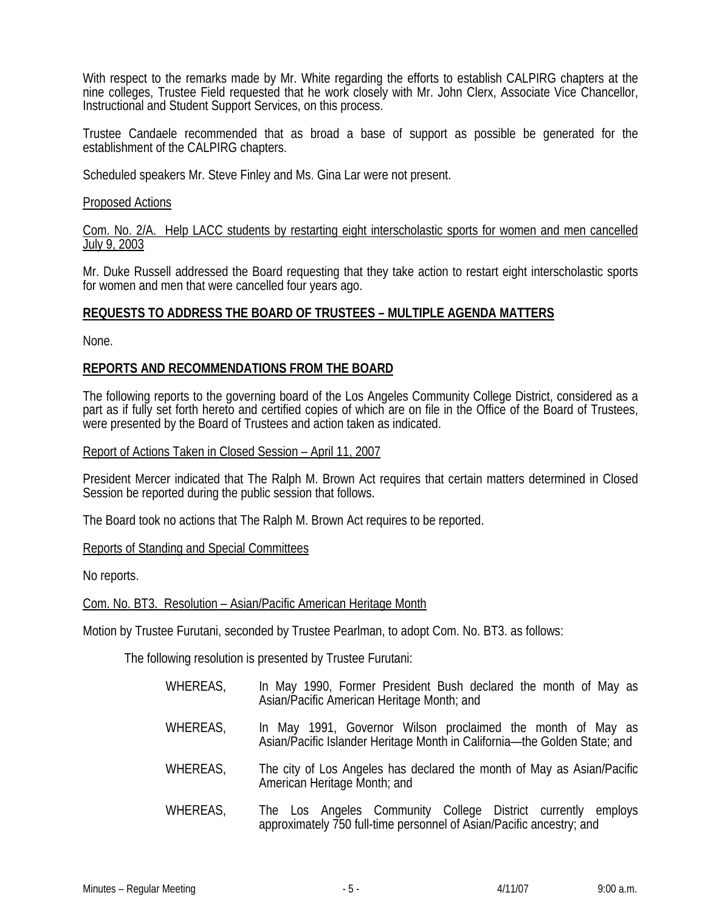With respect to the remarks made by Mr. White regarding the efforts to establish CALPIRG chapters at the nine colleges, Trustee Field requested that he work closely with Mr. John Clerx, Associate Vice Chancellor, Instructional and Student Support Services, on this process.

Trustee Candaele recommended that as broad a base of support as possible be generated for the establishment of the CALPIRG chapters.

Scheduled speakers Mr. Steve Finley and Ms. Gina Lar were not present.

#### Proposed Actions

Com. No. 2/A. Help LACC students by restarting eight interscholastic sports for women and men cancelled July 9, 2003

Mr. Duke Russell addressed the Board requesting that they take action to restart eight interscholastic sports for women and men that were cancelled four years ago.

# **REQUESTS TO ADDRESS THE BOARD OF TRUSTEES – MULTIPLE AGENDA MATTERS**

None.

#### **REPORTS AND RECOMMENDATIONS FROM THE BOARD**

The following reports to the governing board of the Los Angeles Community College District, considered as a part as if fully set forth hereto and certified copies of which are on file in the Office of the Board of Trustees, were presented by the Board of Trustees and action taken as indicated.

#### Report of Actions Taken in Closed Session – April 11, 2007

President Mercer indicated that The Ralph M. Brown Act requires that certain matters determined in Closed Session be reported during the public session that follows.

The Board took no actions that The Ralph M. Brown Act requires to be reported.

#### Reports of Standing and Special Committees

No reports.

Com. No. BT3. Resolution – Asian/Pacific American Heritage Month

Motion by Trustee Furutani, seconded by Trustee Pearlman, to adopt Com. No. BT3. as follows:

The following resolution is presented by Trustee Furutani:

| WHEREAS, | In May 1990, Former President Bush declared the month of May as<br>Asian/Pacific American Heritage Month; and                            |
|----------|------------------------------------------------------------------------------------------------------------------------------------------|
| WHEREAS, | In May 1991, Governor Wilson proclaimed the month of May as<br>Asian/Pacific Islander Heritage Month in California-the Golden State; and |
| WHEREAS, | The city of Los Angeles has declared the month of May as Asian/Pacific<br>American Heritage Month; and                                   |

WHEREAS, The Los Angeles Community College District currently employs approximately 750 full-time personnel of Asian/Pacific ancestry; and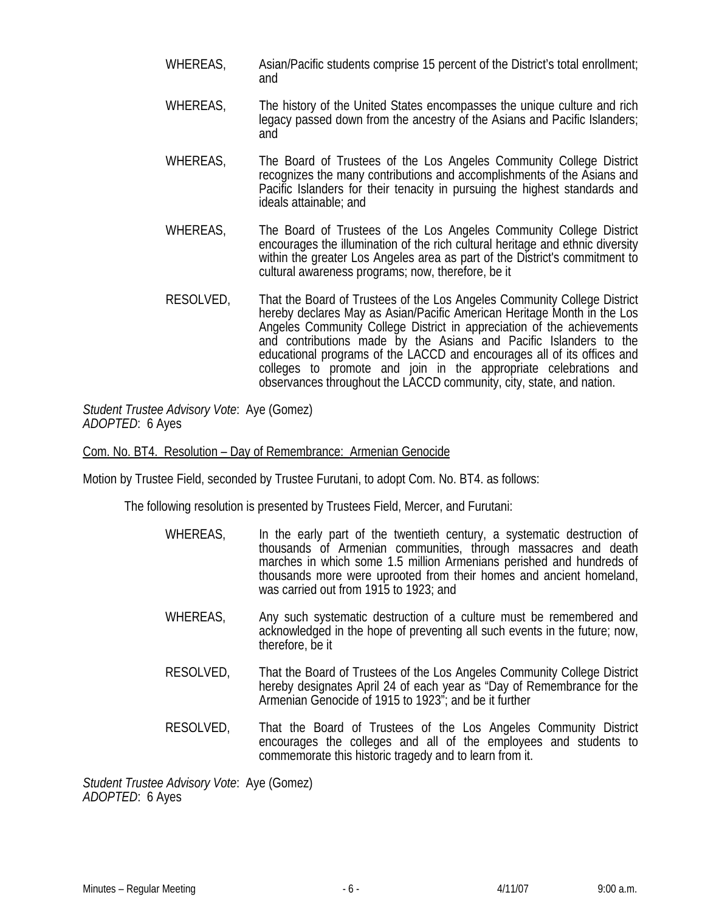- WHEREAS, Asian/Pacific students comprise 15 percent of the District's total enrollment; and
- WHEREAS, The history of the United States encompasses the unique culture and rich legacy passed down from the ancestry of the Asians and Pacific Islanders; and
- WHEREAS, The Board of Trustees of the Los Angeles Community College District recognizes the many contributions and accomplishments of the Asians and Pacific Islanders for their tenacity in pursuing the highest standards and ideals attainable; and
- WHEREAS, The Board of Trustees of the Los Angeles Community College District encourages the illumination of the rich cultural heritage and ethnic diversity within the greater Los Angeles area as part of the District's commitment to cultural awareness programs; now, therefore, be it
- RESOLVED, That the Board of Trustees of the Los Angeles Community College District hereby declares May as Asian/Pacific American Heritage Month in the Los Angeles Community College District in appreciation of the achievements and contributions made by the Asians and Pacific Islanders to the educational programs of the LACCD and encourages all of its offices and colleges to promote and join in the appropriate celebrations and observances throughout the LACCD community, city, state, and nation.

*Student Trustee Advisory Vote*: Aye (Gomez) *ADOPTED*: 6 Ayes

Com. No. BT4. Resolution – Day of Remembrance: Armenian Genocide

Motion by Trustee Field, seconded by Trustee Furutani, to adopt Com. No. BT4. as follows:

The following resolution is presented by Trustees Field, Mercer, and Furutani:

- WHEREAS, In the early part of the twentieth century, a systematic destruction of thousands of Armenian communities, through massacres and death marches in which some 1.5 million Armenians perished and hundreds of thousands more were uprooted from their homes and ancient homeland, was carried out from 1915 to 1923; and
- WHEREAS, Any such systematic destruction of a culture must be remembered and acknowledged in the hope of preventing all such events in the future; now, therefore, be it
- RESOLVED, That the Board of Trustees of the Los Angeles Community College District hereby designates April 24 of each year as "Day of Remembrance for the Armenian Genocide of 1915 to 1923"; and be it further
- RESOLVED, That the Board of Trustees of the Los Angeles Community District encourages the colleges and all of the employees and students to commemorate this historic tragedy and to learn from it.

*Student Trustee Advisory Vote*: Aye (Gomez) *ADOPTED*: 6 Ayes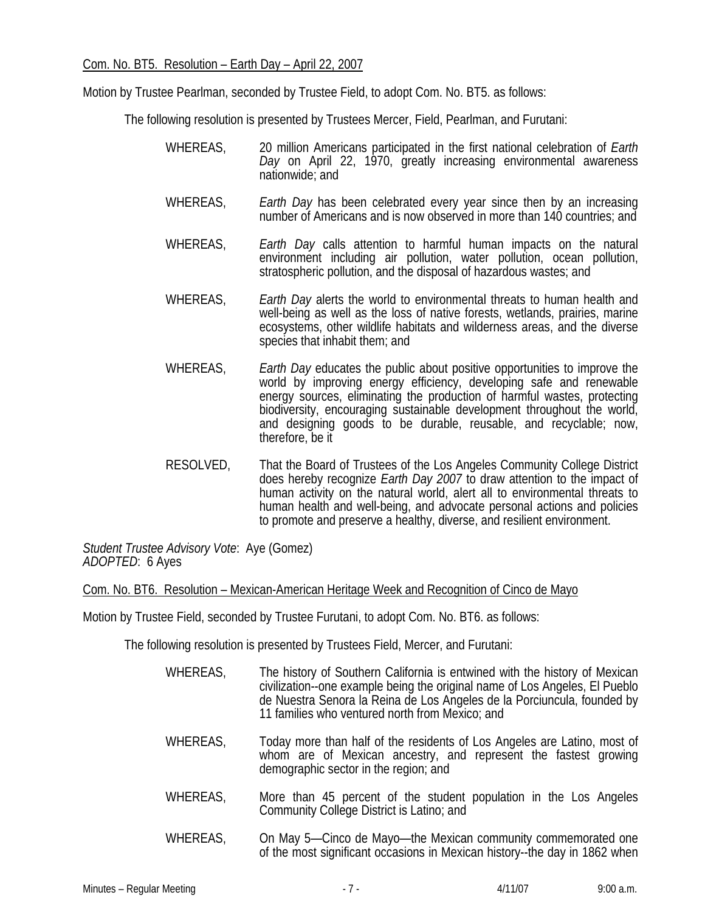Motion by Trustee Pearlman, seconded by Trustee Field, to adopt Com. No. BT5. as follows:

The following resolution is presented by Trustees Mercer, Field, Pearlman, and Furutani:

- WHEREAS, 20 million Americans participated in the first national celebration of *Earth Day* on April 22, 1970, greatly increasing environmental awareness nationwide; and
- WHEREAS, *Earth Day* has been celebrated every year since then by an increasing number of Americans and is now observed in more than 140 countries; and
- WHEREAS, *Earth Day* calls attention to harmful human impacts on the natural environment including air pollution, water pollution, ocean pollution, stratospheric pollution, and the disposal of hazardous wastes; and
- WHEREAS, *Earth Day* alerts the world to environmental threats to human health and well-being as well as the loss of native forests, wetlands, prairies, marine ecosystems, other wildlife habitats and wilderness areas, and the diverse species that inhabit them; and
- WHEREAS, *Earth Day* educates the public about positive opportunities to improve the world by improving energy efficiency, developing safe and renewable energy sources, eliminating the production of harmful wastes, protecting biodiversity, encouraging sustainable development throughout the world, and designing goods to be durable, reusable, and recyclable; now, therefore, be it
- RESOLVED, That the Board of Trustees of the Los Angeles Community College District does hereby recognize *Earth Day 2007* to draw attention to the impact of human activity on the natural world, alert all to environmental threats to human health and well-being, and advocate personal actions and policies to promote and preserve a healthy, diverse, and resilient environment.

*Student Trustee Advisory Vote*: Aye (Gomez) *ADOPTED*: 6 Ayes

Com. No. BT6. Resolution – Mexican-American Heritage Week and Recognition of Cinco de Mayo

Motion by Trustee Field, seconded by Trustee Furutani, to adopt Com. No. BT6. as follows:

The following resolution is presented by Trustees Field, Mercer, and Furutani:

- WHEREAS, The history of Southern California is entwined with the history of Mexican civilization--one example being the original name of Los Angeles, El Pueblo de Nuestra Senora la Reina de Los Angeles de la Porciuncula, founded by 11 families who ventured north from Mexico; and WHEREAS, Today more than half of the residents of Los Angeles are Latino, most of whom are of Mexican ancestry, and represent the fastest growing demographic sector in the region; and
- WHEREAS, More than 45 percent of the student population in the Los Angeles Community College District is Latino; and
- WHEREAS, On May 5—Cinco de Mayo—the Mexican community commemorated one of the most significant occasions in Mexican history--the day in 1862 when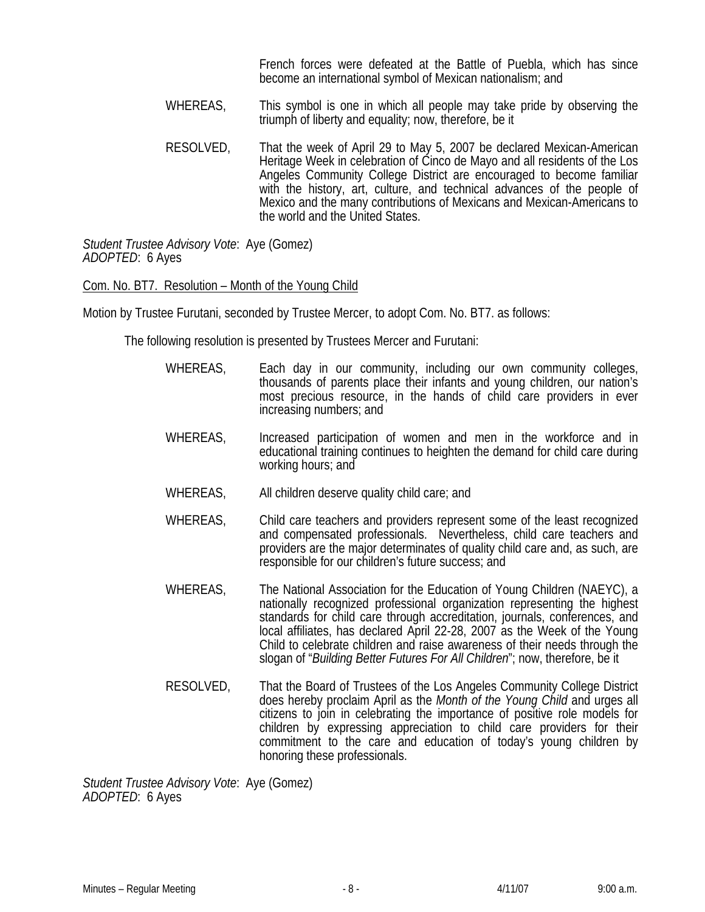French forces were defeated at the Battle of Puebla, which has since become an international symbol of Mexican nationalism; and

- WHEREAS, This symbol is one in which all people may take pride by observing the triumph of liberty and equality; now, therefore, be it
- RESOLVED, That the week of April 29 to May 5, 2007 be declared Mexican-American Heritage Week in celebration of Cinco de Mayo and all residents of the Los Angeles Community College District are encouraged to become familiar with the history, art, culture, and technical advances of the people of Mexico and the many contributions of Mexicans and Mexican-Americans to the world and the United States.

*Student Trustee Advisory Vote*: Aye (Gomez) *ADOPTED*: 6 Ayes

#### Com. No. BT7. Resolution – Month of the Young Child

Motion by Trustee Furutani, seconded by Trustee Mercer, to adopt Com. No. BT7. as follows:

The following resolution is presented by Trustees Mercer and Furutani:

- WHEREAS, Each day in our community, including our own community colleges, thousands of parents place their infants and young children, our nation's most precious resource, in the hands of child care providers in ever increasing numbers; and
- WHEREAS, Increased participation of women and men in the workforce and in educational training continues to heighten the demand for child care during working hours; and
- WHEREAS, All children deserve quality child care; and
- WHEREAS, Child care teachers and providers represent some of the least recognized and compensated professionals. Nevertheless, child care teachers and providers are the major determinates of quality child care and, as such, are responsible for our children's future success; and
- WHEREAS, The National Association for the Education of Young Children (NAEYC), a nationally recognized professional organization representing the highest standards for child care through accreditation, journals, conferences, and local affiliates, has declared April 22-28, 2007 as the Week of the Young Child to celebrate children and raise awareness of their needs through the slogan of "*Building Better Futures For All Children*"; now, therefore, be it
- RESOLVED, That the Board of Trustees of the Los Angeles Community College District does hereby proclaim April as the *Month of the Young Child* and urges all citizens to join in celebrating the importance of positive role models for children by expressing appreciation to child care providers for their commitment to the care and education of today's young children by honoring these professionals.

*Student Trustee Advisory Vote*: Aye (Gomez) *ADOPTED*: 6 Ayes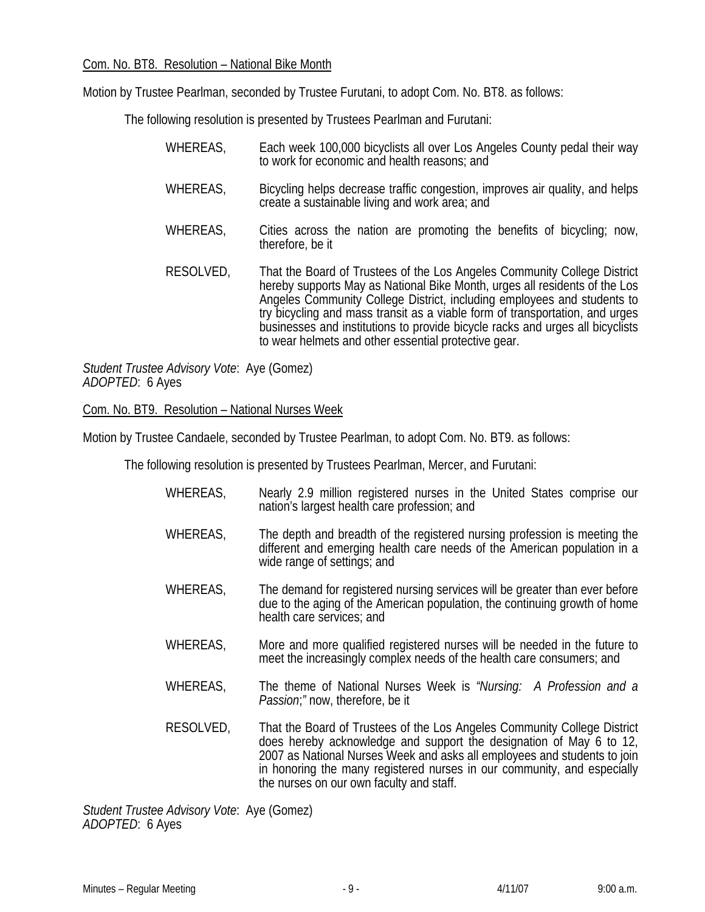Motion by Trustee Pearlman, seconded by Trustee Furutani, to adopt Com. No. BT8. as follows:

The following resolution is presented by Trustees Pearlman and Furutani:

WHEREAS, Each week 100,000 bicyclists all over Los Angeles County pedal their way to work for economic and health reasons; and WHEREAS, Bicycling helps decrease traffic congestion, improves air quality, and helps create a sustainable living and work area; and WHEREAS, Cities across the nation are promoting the benefits of bicycling; now, therefore, be it RESOLVED, That the Board of Trustees of the Los Angeles Community College District hereby supports May as National Bike Month, urges all residents of the Los Angeles Community College District, including employees and students to try bicycling and mass transit as a viable form of transportation, and urges businesses and institutions to provide bicycle racks and urges all bicyclists to wear helmets and other essential protective gear.

*Student Trustee Advisory Vote*: Aye (Gomez) *ADOPTED*: 6 Ayes

#### Com. No. BT9. Resolution – National Nurses Week

Motion by Trustee Candaele, seconded by Trustee Pearlman, to adopt Com. No. BT9. as follows:

The following resolution is presented by Trustees Pearlman, Mercer, and Furutani:

- WHEREAS, Nearly 2.9 million registered nurses in the United States comprise our nation's largest health care profession; and WHEREAS, The depth and breadth of the registered nursing profession is meeting the different and emerging health care needs of the American population in a wide range of settings; and WHEREAS, The demand for registered nursing services will be greater than ever before
	- due to the aging of the American population, the continuing growth of home health care services; and
- WHEREAS, More and more qualified registered nurses will be needed in the future to meet the increasingly complex needs of the health care consumers; and
- WHEREAS, The theme of National Nurses Week is *"Nursing: A Profession and a Passion*;*"* now, therefore, be it
- RESOLVED, That the Board of Trustees of the Los Angeles Community College District does hereby acknowledge and support the designation of May 6 to 12, 2007 as National Nurses Week and asks all employees and students to join in honoring the many registered nurses in our community, and especially the nurses on our own faculty and staff.

*Student Trustee Advisory Vote*: Aye (Gomez) *ADOPTED*: 6 Ayes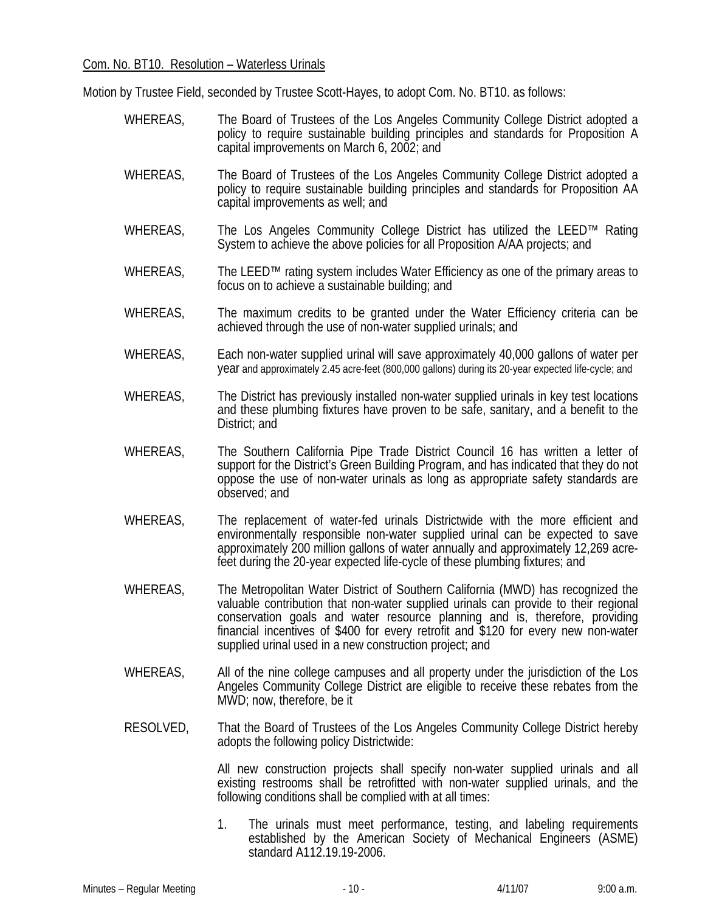Motion by Trustee Field, seconded by Trustee Scott-Hayes, to adopt Com. No. BT10. as follows:

- WHEREAS, The Board of Trustees of the Los Angeles Community College District adopted a policy to require sustainable building principles and standards for Proposition A capital improvements on March 6, 2002; and
- WHEREAS, The Board of Trustees of the Los Angeles Community College District adopted a policy to require sustainable building principles and standards for Proposition AA capital improvements as well; and
- WHEREAS, The Los Angeles Community College District has utilized the LEED™ Rating System to achieve the above policies for all Proposition A/AA projects; and
- WHEREAS, The LEED™ rating system includes Water Efficiency as one of the primary areas to focus on to achieve a sustainable building; and
- WHEREAS, The maximum credits to be granted under the Water Efficiency criteria can be achieved through the use of non-water supplied urinals; and
- WHEREAS, Each non-water supplied urinal will save approximately 40,000 gallons of water per year and approximately 2.45 acre-feet (800,000 gallons) during its 20-year expected life-cycle; and
- WHEREAS, The District has previously installed non-water supplied urinals in key test locations and these plumbing fixtures have proven to be safe, sanitary, and a benefit to the District; and
- WHEREAS, The Southern California Pipe Trade District Council 16 has written a letter of support for the District's Green Building Program, and has indicated that they do not oppose the use of non-water urinals as long as appropriate safety standards are observed; and
- WHEREAS, The replacement of water-fed urinals Districtwide with the more efficient and environmentally responsible non-water supplied urinal can be expected to save approximately 200 million gallons of water annually and approximately 12,269 acrefeet during the 20-year expected life-cycle of these plumbing fixtures; and
- WHEREAS, The Metropolitan Water District of Southern California (MWD) has recognized the valuable contribution that non-water supplied urinals can provide to their regional conservation goals and water resource planning and is, therefore, providing financial incentives of \$400 for every retrofit and \$120 for every new non-water supplied urinal used in a new construction project; and
- WHEREAS, All of the nine college campuses and all property under the jurisdiction of the Los Angeles Community College District are eligible to receive these rebates from the MWD; now, therefore, be it
- RESOLVED, That the Board of Trustees of the Los Angeles Community College District hereby adopts the following policy Districtwide:

All new construction projects shall specify non-water supplied urinals and all existing restrooms shall be retrofitted with non-water supplied urinals, and the following conditions shall be complied with at all times:

1. The urinals must meet performance, testing, and labeling requirements established by the American Society of Mechanical Engineers (ASME) standard A112.19.19-2006.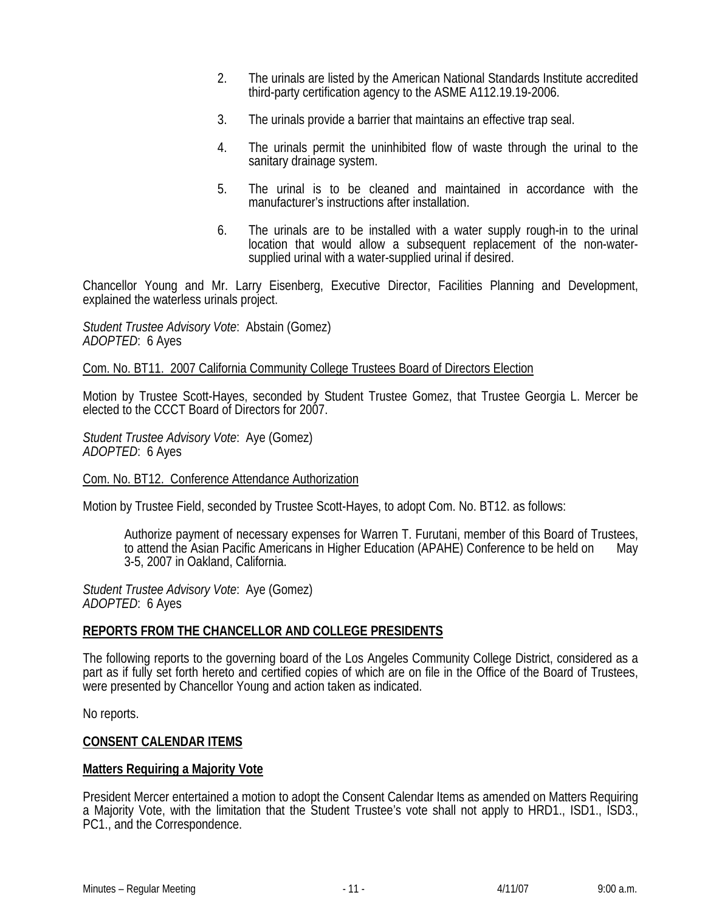- 2. The urinals are listed by the American National Standards Institute accredited third-party certification agency to the ASME A112.19.19-2006.
- 3. The urinals provide a barrier that maintains an effective trap seal.
- 4. The urinals permit the uninhibited flow of waste through the urinal to the sanitary drainage system.
- 5. The urinal is to be cleaned and maintained in accordance with the manufacturer's instructions after installation.
- 6. The urinals are to be installed with a water supply rough-in to the urinal location that would allow a subsequent replacement of the non-watersupplied urinal with a water-supplied urinal if desired.

Chancellor Young and Mr. Larry Eisenberg, Executive Director, Facilities Planning and Development, explained the waterless urinals project.

*Student Trustee Advisory Vote*: Abstain (Gomez) *ADOPTED*: 6 Ayes

Com. No. BT11. 2007 California Community College Trustees Board of Directors Election

Motion by Trustee Scott-Hayes, seconded by Student Trustee Gomez, that Trustee Georgia L. Mercer be elected to the CCCT Board of Directors for 2007.

*Student Trustee Advisory Vote*: Aye (Gomez) *ADOPTED*: 6 Ayes

Com. No. BT12. Conference Attendance Authorization

Motion by Trustee Field, seconded by Trustee Scott-Hayes, to adopt Com. No. BT12. as follows:

Authorize payment of necessary expenses for Warren T. Furutani, member of this Board of Trustees, to attend the Asian Pacific Americans in Higher Education (APAHE) Conference to be held on May 3-5, 2007 in Oakland, California.

*Student Trustee Advisory Vote*: Aye (Gomez) *ADOPTED*: 6 Ayes

#### **REPORTS FROM THE CHANCELLOR AND COLLEGE PRESIDENTS**

The following reports to the governing board of the Los Angeles Community College District, considered as a part as if fully set forth hereto and certified copies of which are on file in the Office of the Board of Trustees, were presented by Chancellor Young and action taken as indicated.

No reports.

#### **CONSENT CALENDAR ITEMS**

#### **Matters Requiring a Majority Vote**

President Mercer entertained a motion to adopt the Consent Calendar Items as amended on Matters Requiring a Majority Vote, with the limitation that the Student Trustee's vote shall not apply to HRD1., ISD1., ISD3., PC1., and the Correspondence.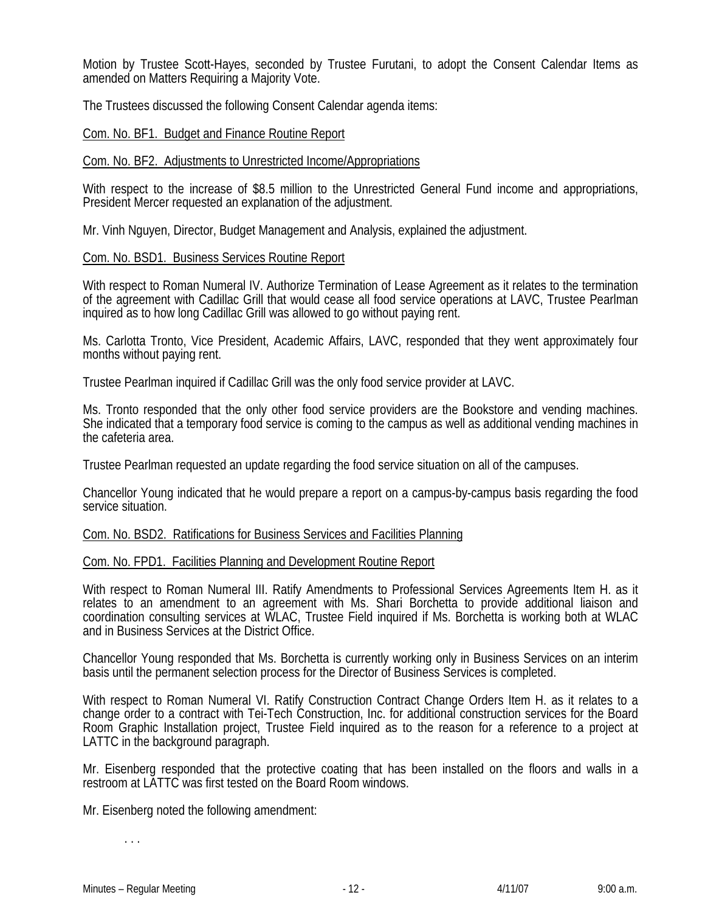Motion by Trustee Scott-Hayes, seconded by Trustee Furutani, to adopt the Consent Calendar Items as amended on Matters Requiring a Majority Vote.

The Trustees discussed the following Consent Calendar agenda items:

#### Com. No. BF1. Budget and Finance Routine Report

#### Com. No. BF2. Adjustments to Unrestricted Income/Appropriations

With respect to the increase of \$8.5 million to the Unrestricted General Fund income and appropriations, President Mercer requested an explanation of the adjustment.

Mr. Vinh Nguyen, Director, Budget Management and Analysis, explained the adjustment.

#### Com. No. BSD1. Business Services Routine Report

With respect to Roman Numeral IV. Authorize Termination of Lease Agreement as it relates to the termination of the agreement with Cadillac Grill that would cease all food service operations at LAVC, Trustee Pearlman inquired as to how long Cadillac Grill was allowed to go without paying rent.

Ms. Carlotta Tronto, Vice President, Academic Affairs, LAVC, responded that they went approximately four months without paying rent.

Trustee Pearlman inquired if Cadillac Grill was the only food service provider at LAVC.

Ms. Tronto responded that the only other food service providers are the Bookstore and vending machines. She indicated that a temporary food service is coming to the campus as well as additional vending machines in the cafeteria area.

Trustee Pearlman requested an update regarding the food service situation on all of the campuses.

Chancellor Young indicated that he would prepare a report on a campus-by-campus basis regarding the food service situation.

# Com. No. BSD2. Ratifications for Business Services and Facilities Planning

#### Com. No. FPD1. Facilities Planning and Development Routine Report

With respect to Roman Numeral III. Ratify Amendments to Professional Services Agreements Item H. as it relates to an amendment to an agreement with Ms. Shari Borchetta to provide additional liaison and coordination consulting services at WLAC, Trustee Field inquired if Ms. Borchetta is working both at WLAC and in Business Services at the District Office.

Chancellor Young responded that Ms. Borchetta is currently working only in Business Services on an interim basis until the permanent selection process for the Director of Business Services is completed.

With respect to Roman Numeral VI. Ratify Construction Contract Change Orders Item H. as it relates to a change order to a contract with Tei-Tech Construction, Inc. for additional construction services for the Board Room Graphic Installation project, Trustee Field inquired as to the reason for a reference to a project at LATTC in the background paragraph.

Mr. Eisenberg responded that the protective coating that has been installed on the floors and walls in a restroom at LATTC was first tested on the Board Room windows.

Mr. Eisenberg noted the following amendment:

. . .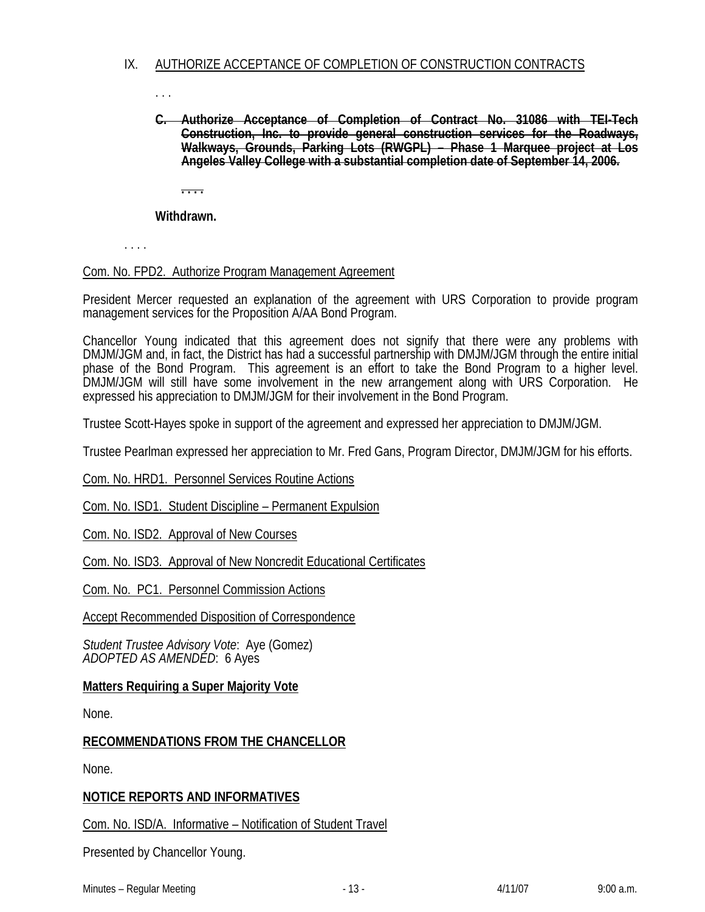# IX. AUTHORIZE ACCEPTANCE OF COMPLETION OF CONSTRUCTION CONTRACTS

. . .

**C. Authorize Acceptance of Completion of Contract No. 31086 with TEI-Tech Construction, Inc. to provide general construction services for the Roadways, Walkways, Grounds, Parking Lots (RWGPL) – Phase 1 Marquee project at Los Angeles Valley College with a substantial completion date of September 14, 2006.**

**. . . .**

**Withdrawn.** 

. . . .

#### Com. No. FPD2. Authorize Program Management Agreement

President Mercer requested an explanation of the agreement with URS Corporation to provide program management services for the Proposition A/AA Bond Program.

Chancellor Young indicated that this agreement does not signify that there were any problems with DMJM/JGM and, in fact, the District has had a successful partnership with DMJM/JGM through the entire initial phase of the Bond Program. This agreement is an effort to take the Bond Program to a higher level. DMJM/JGM will still have some involvement in the new arrangement along with URS Corporation. He expressed his appreciation to DMJM/JGM for their involvement in the Bond Program.

Trustee Scott-Hayes spoke in support of the agreement and expressed her appreciation to DMJM/JGM.

Trustee Pearlman expressed her appreciation to Mr. Fred Gans, Program Director, DMJM/JGM for his efforts.

Com. No. HRD1. Personnel Services Routine Actions

Com. No. ISD1. Student Discipline – Permanent Expulsion

Com. No. ISD2. Approval of New Courses

Com. No. ISD3. Approval of New Noncredit Educational Certificates

Com. No. PC1. Personnel Commission Actions

Accept Recommended Disposition of Correspondence

*Student Trustee Advisory Vote*: Aye (Gomez) *ADOPTED AS AMENDED*: 6 Ayes

# **Matters Requiring a Super Majority Vote**

None.

# **RECOMMENDATIONS FROM THE CHANCELLOR**

None.

# **NOTICE REPORTS AND INFORMATIVES**

Com. No. ISD/A. Informative – Notification of Student Travel

Presented by Chancellor Young.